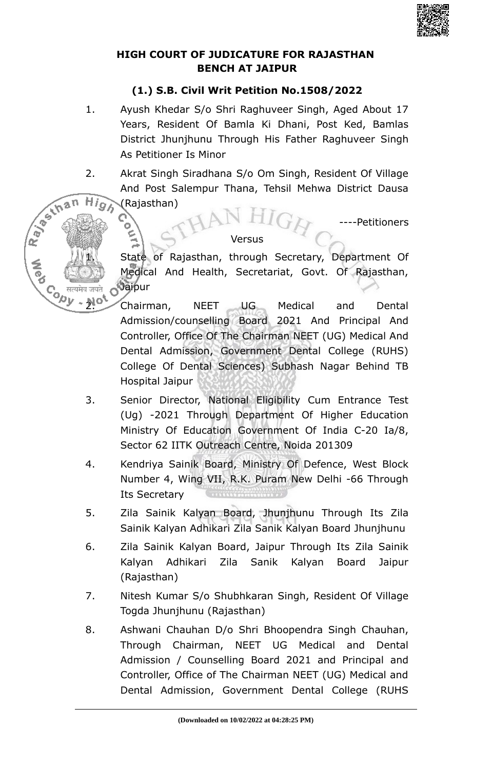

### **HIGH COURT OF JUDICATURE FOR RAJASTHAN BENCH AT JAIPUR**

# **(1.) S.B. Civil Writ Petition No.1508/2022**

- 1. Ayush Khedar S/o Shri Raghuveer Singh, Aged About 17 Years, Resident Of Bamla Ki Dhani, Post Ked, Bamlas District Jhunjhunu Through His Father Raghuveer Singh As Petitioner Is Minor
- 2. Akrat Singh Siradhana S/o Om Singh, Resident Of Village And Post Salempur Thana, Tehsil Mehwa District Dausa **High** (Rajasthan)

Ray of than

о

--Petitioners

### Versus

State of Rajasthan, through Secretary, Department Of Medical And Health, Secretariat, Govt. Of Rajasthan, Jaipur

Co सत्यमेव जवते Ovarpur<br>
2. Chairman, NEET UG Medical and Dental Admission/counselling Board 2021 And Principal And Controller, Office Of The Chairman NEET (UG) Medical And Dental Admission, Government Dental College (RUHS) College Of Dental Sciences) Subhash Nagar Behind TB Hospital Jaipur

- 3. Senior Director, National Eligibility Cum Entrance Test (Ug) -2021 Through Department Of Higher Education Ministry Of Education Government Of India C-20 Ia/8, Sector 62 IITK Outreach Centre, Noida 201309
- 4. Kendriya Sainik Board, Ministry Of Defence, West Block Number 4, Wing VII, R.K. Puram New Delhi -66 Through Its Secretary
- 5. Zila Sainik Kalyan Board, Jhunjhunu Through Its Zila Sainik Kalyan Adhikari Zila Sanik Kalyan Board Jhunjhunu
- 6. Zila Sainik Kalyan Board, Jaipur Through Its Zila Sainik Kalyan Adhikari Zila Sanik Kalyan Board Jaipur (Rajasthan)
- 7. Nitesh Kumar S/o Shubhkaran Singh, Resident Of Village Togda Jhunjhunu (Rajasthan)
- 8. Ashwani Chauhan D/o Shri Bhoopendra Singh Chauhan, Through Chairman, NEET UG Medical and Dental Admission / Counselling Board 2021 and Principal and Controller, Office of The Chairman NEET (UG) Medical and Dental Admission, Government Dental College (RUHS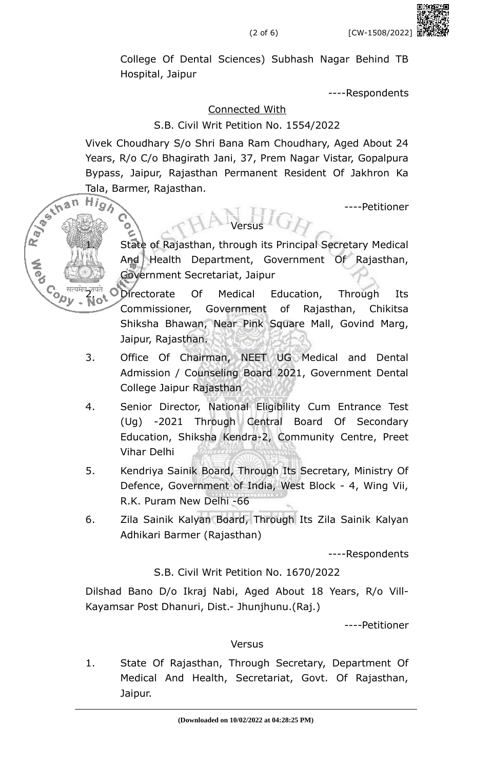College Of Dental Sciences) Subhash Nagar Behind TB Hospital, Jaipur

----Respondents

## Connected With

## S.B. Civil Writ Petition No. 1554/2022

Vivek Choudhary S/o Shri Bana Ram Choudhary, Aged About 24 Years, R/o C/o Bhagirath Jani, 37, Prem Nagar Vistar, Gopalpura Bypass, Jaipur, Rajasthan Permanent Resident Of Jakhron Ka Tala, Barmer, Rajasthan.<br>H*in* 

Versus

R Joshan

**Conde**<br>Copy

----Petitioner

State of Rajasthan, through its Principal Secretary Medical And Health Department, Government Of Rajasthan, Government Secretariat, Jaipur

Directorate Of Medical Education, Through Its Commissioner, Government of Rajasthan, Chikitsa Shiksha Bhawan, Near Pink Square Mall, Govind Marg, Jaipur, Rajasthan.

- 3. Office Of Chairman, NEET UG Medical and Dental Admission / Counseling Board 2021, Government Dental College Jaipur Rajasthan
- 4. Senior Director, National Eligibility Cum Entrance Test (Ug) -2021 Through Central Board Of Secondary Education, Shiksha Kendra-2, Community Centre, Preet Vihar Delhi
- 5. Kendriya Sainik Board, Through Its Secretary, Ministry Of Defence, Government of India, West Block - 4, Wing Vii, R.K. Puram New Delhi -66
- 6. Zila Sainik Kalyan Board, Through Its Zila Sainik Kalyan Adhikari Barmer (Rajasthan)

----Respondents

## S.B. Civil Writ Petition No. 1670/2022

Dilshad Bano D/o Ikraj Nabi, Aged About 18 Years, R/o Vill-Kayamsar Post Dhanuri, Dist.- Jhunjhunu.(Raj.)

----Petitioner

### **Versus**

1. State Of Rajasthan, Through Secretary, Department Of Medical And Health, Secretariat, Govt. Of Rajasthan, Jaipur.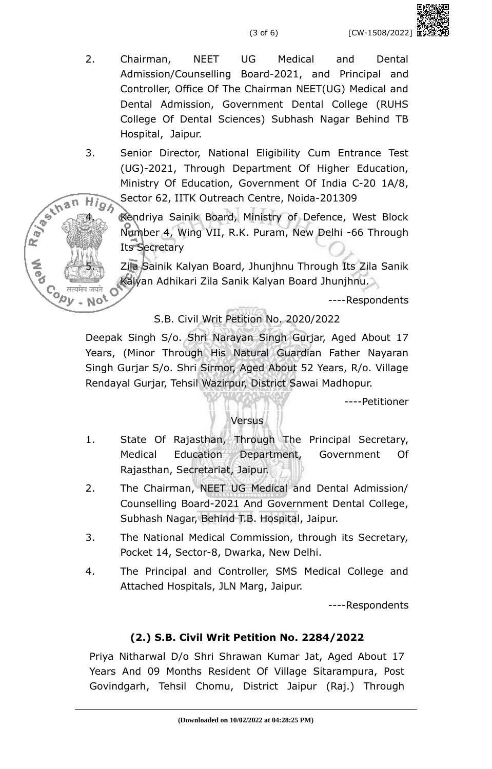(3 of 6) [CW-1508/2022]

- 2. Chairman, NEET UG Medical and Dental Admission/Counselling Board-2021, and Principal and Controller, Office Of The Chairman NEET(UG) Medical and Dental Admission, Government Dental College (RUHS College Of Dental Sciences) Subhash Nagar Behind TB Hospital, Jaipur.
- 3. Senior Director, National Eligibility Cum Entrance Test (UG)-2021, Through Department Of Higher Education, Ministry Of Education, Government Of India C-20 1A/8, Sector 62, IITK Outreach Centre, Noida-201309

Ray of than **CODY** No<sup>t</sup>

High Sector 62, IIIK Uutreach Centre, Nollar 201002<br>4. Kendriya Sainik Board, Ministry of Defence, West Block Number 4, Wing VII, R.K. Puram, New Delhi -66 Through Its Secretary

> Zila Sainik Kalyan Board, Jhunjhnu Through Its Zila Sanik Kalyan Adhikari Zila Sanik Kalyan Board Jhunjhnu.

> > ----Respondents

## S.B. Civil Writ Petition No. 2020/2022

Deepak Singh S/o. Shri Narayan Singh Gurjar, Aged About 17 Years, (Minor Through His Natural Guardian Father Nayaran Singh Gurjar S/o. Shri Sirmor, Aged About 52 Years, R/o. Village Rendayal Gurjar, Tehsil Wazirpur, District Sawai Madhopur.

----Petitioner

### **Versus**

- 1. State Of Rajasthan, Through The Principal Secretary, Medical Education Department, Government Of Rajasthan, Secretariat, Jaipur.
- 2. The Chairman, NEET UG Medical and Dental Admission/ Counselling Board-2021 And Government Dental College, Subhash Nagar, Behind T.B. Hospital, Jaipur.
- 3. The National Medical Commission, through its Secretary, Pocket 14, Sector-8, Dwarka, New Delhi.
- 4. The Principal and Controller, SMS Medical College and Attached Hospitals, JLN Marg, Jaipur.

----Respondents

## **(2.) S.B. Civil Writ Petition No. 2284/2022**

Priya Nitharwal D/o Shri Shrawan Kumar Jat, Aged About 17 Years And 09 Months Resident Of Village Sitarampura, Post Govindgarh, Tehsil Chomu, District Jaipur (Raj.) Through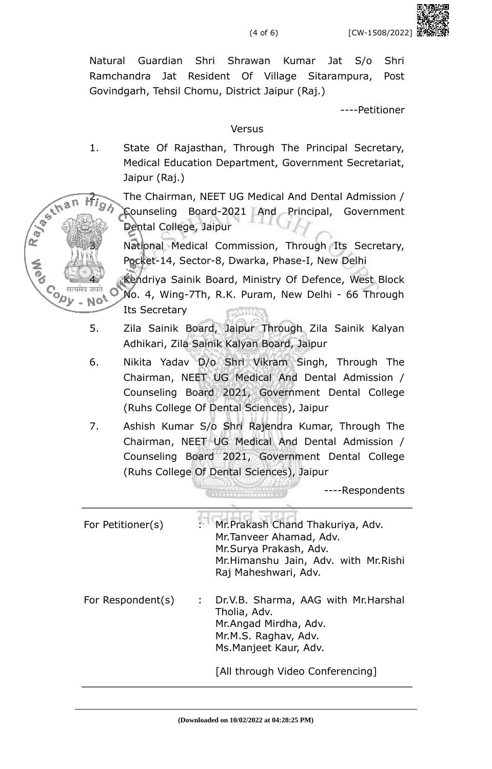Natural Guardian Shri Shrawan Kumar Jat S/o Shri Ramchandra Jat Resident Of Village Sitarampura, Post Govindgarh, Tehsil Chomu, District Jaipur (Raj.)

----Petitioner

#### Versus

1. State Of Rajasthan, Through The Principal Secretary, Medical Education Department, Government Secretariat, Jaipur (Raj.)

**Sexhan** 

**Cody** 

NO<sup>5</sup>

ka).<br>K

2. The Chairman, NEET UG Medical And Dental Admission / Counseling Board-2021 And Principal, Government Dental College, Jaipur

National Medical Commission, Through Its Secretary, Pocket-14, Sector-8, Dwarka, Phase-I, New Delhi

4. Kendriya Sainik Board, Ministry Of Defence, West Block No. 4, Wing-7Th, R.K. Puram, New Delhi - 66 Through Its Secretary

- 5. Zila Sainik Board, Jaipur Through Zila Sainik Kalyan Adhikari, Zila Sainik Kalyan Board, Jaipur
- 6. Nikita Yadav D/o Shri Vikram Singh, Through The Chairman, NEET UG Medical And Dental Admission / Counseling Board 2021, Government Dental College (Ruhs College Of Dental Sciences), Jaipur
- 7. Ashish Kumar S/o Shri Rajendra Kumar, Through The Chairman, NEET UG Medical And Dental Admission / Counseling Board 2021, Government Dental College (Ruhs College Of Dental Sciences), Jaipur

----Respondents

| For Petitioner(s) |      | : Mr. Prakash Chand Thakuriya, Adv.<br>Mr. Tanveer Ahamad, Adv.<br>Mr.Surya Prakash, Adv.<br>Mr.Himanshu Jain, Adv. with Mr.Rishi<br>Raj Maheshwari, Adv.           |
|-------------------|------|---------------------------------------------------------------------------------------------------------------------------------------------------------------------|
| For Respondent(s) | t in | Dr.V.B. Sharma, AAG with Mr.Harshal<br>Tholia, Adv.<br>Mr. Angad Mirdha, Adv.<br>Mr.M.S. Raghav, Adv.<br>Ms. Manjeet Kaur, Adv.<br>[All through Video Conferencing] |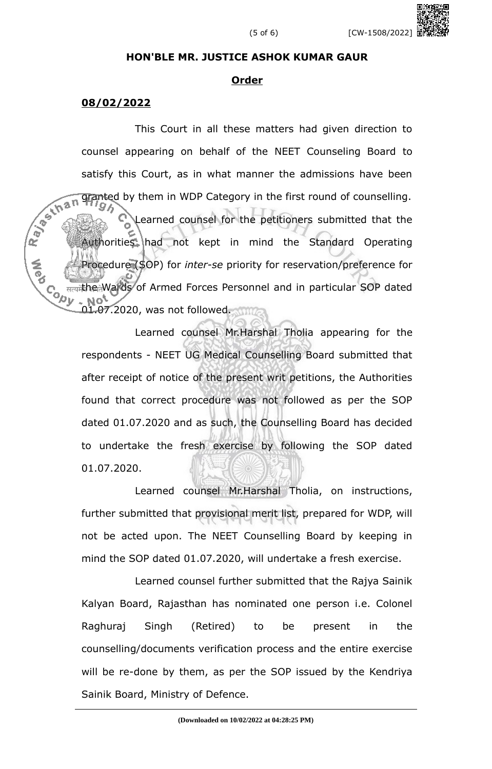#### **HON'BLE MR. JUSTICE ASHOK KUMAR GAUR**

#### **Order**

#### **08/02/2022**

This Court in all these matters had given direction to counsel appearing on behalf of the NEET Counseling Board to satisfy this Court, as in what manner the admissions have been<br>  $\frac{1}{2}$ <br>  $\frac{1}{2}$ <br>  $\frac{1}{2}$ <br>  $\frac{1}{2}$ <br>  $\frac{1}{2}$ <br>  $\frac{1}{2}$ <br>  $\frac{1}{2}$ <br>  $\frac{1}{2}$ <br>  $\frac{1}{2}$ <br>  $\frac{1}{2}$ <br>  $\frac{1}{2}$ <br>  $\frac{1}{2}$ <br>  $\frac{1}{2}$ <br>  $\frac{1}{2}$ <br>  $\frac$ granted by them in WDP Category in the first round of counselling.<br>
SA Learned counsel for the petitioners submitted that the Authorities had not kept in mind the Standard Operating Procedure (SOP) for *inter-se* priority for reservation/preference for **COAL** the Wards of Armed Forces Personnel and in particular SOP dated 01.07.2020, was not followed. 000

> Learned counsel Mr.Harshal Tholia appearing for the respondents - NEET UG Medical Counselling Board submitted that after receipt of notice of the present writ petitions, the Authorities found that correct procedure was not followed as per the SOP dated 01.07.2020 and as such, the Counselling Board has decided to undertake the fresh exercise by following the SOP dated 01.07.2020.

> Learned counsel Mr.Harshal Tholia, on instructions, further submitted that provisional merit list, prepared for WDP, will not be acted upon. The NEET Counselling Board by keeping in mind the SOP dated 01.07.2020, will undertake a fresh exercise.

> Learned counsel further submitted that the Rajya Sainik Kalyan Board, Rajasthan has nominated one person i.e. Colonel Raghuraj Singh (Retired) to be present in the counselling/documents verification process and the entire exercise will be re-done by them, as per the SOP issued by the Kendriya Sainik Board, Ministry of Defence.